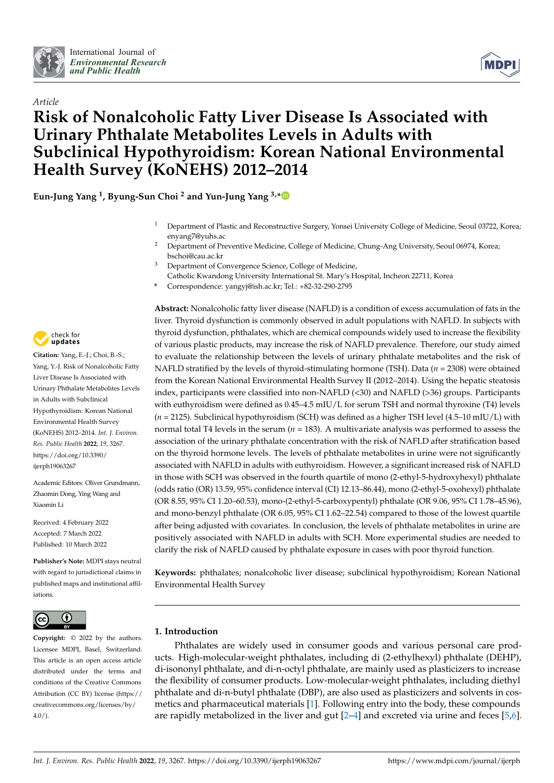



# *Article* **Risk of Nonalcoholic Fatty Liver Disease Is Associated with Urinary Phthalate Metabolites Levels in Adults with Subclinical Hypothyroidism: Korean National Environmental Health Survey (KoNEHS) 2012–2014**

**Eun-Jung Yang <sup>1</sup> , Byung-Sun Choi <sup>2</sup> and Yun-Jung Yang 3,[\\*](https://orcid.org/0000-0001-5461-1534)**

- <sup>1</sup> Department of Plastic and Reconstructive Surgery, Yonsei University College of Medicine, Seoul 03722, Korea; enyang7@yuhs.ac
- <sup>2</sup> Department of Preventive Medicine, College of Medicine, Chung-Ang University, Seoul 06974, Korea; bschoi@cau.ac.kr
- <sup>3</sup> Department of Convergence Science, College of Medicine,
- Catholic Kwandong University International St. Mary's Hospital, Incheon 22711, Korea
- **\*** Correspondence: yangyj@ish.ac.kr; Tel.: +82-32-290-2795



**Citation:** Yang, E.-J.; Choi, B.-S.; Yang, Y.-J. Risk of Nonalcoholic Fatty Liver Disease Is Associated with Urinary Phthalate Metabolites Levels in Adults with Subclinical Hypothyroidism: Korean National Environmental Health Survey (KoNEHS) 2012–2014. *Int. J. Environ. Res. Public Health* **2022**, *19*, 3267. [https://doi.org/10.3390/](https://doi.org/10.3390/ijerph19063267) [ijerph19063267](https://doi.org/10.3390/ijerph19063267)

Academic Editors: Oliver Grundmann, Zhaomin Dong, Ying Wang and Xiaomin Li

Received: 4 February 2022 Accepted: 7 March 2022 Published: 10 March 2022

**Publisher's Note:** MDPI stays neutral with regard to jurisdictional claims in published maps and institutional affiliations.



**Copyright:** © 2022 by the authors. Licensee MDPI, Basel, Switzerland. This article is an open access article distributed under the terms and conditions of the Creative Commons Attribution (CC BY) license [\(https://](https://creativecommons.org/licenses/by/4.0/) [creativecommons.org/licenses/by/](https://creativecommons.org/licenses/by/4.0/)  $4.0/$ ).

**Abstract:** Nonalcoholic fatty liver disease (NAFLD) is a condition of excess accumulation of fats in the liver. Thyroid dysfunction is commonly observed in adult populations with NAFLD. In subjects with thyroid dysfunction, phthalates, which are chemical compounds widely used to increase the flexibility of various plastic products, may increase the risk of NAFLD prevalence. Therefore, our study aimed to evaluate the relationship between the levels of urinary phthalate metabolites and the risk of NAFLD stratified by the levels of thyroid-stimulating hormone (TSH). Data (*n* = 2308) were obtained from the Korean National Environmental Health Survey II (2012–2014). Using the hepatic steatosis index, participants were classified into non-NAFLD (<30) and NAFLD (>36) groups. Participants with euthyroidism were defined as 0.45–4.5 mIU/L for serum TSH and normal thyroxine (T4) levels  $(n = 2125)$ . Subclinical hypothyroidism (SCH) was defined as a higher TSH level  $(4.5-10 \text{ mU/L})$  with normal total T4 levels in the serum ( $n = 183$ ). A multivariate analysis was performed to assess the association of the urinary phthalate concentration with the risk of NAFLD after stratification based on the thyroid hormone levels. The levels of phthalate metabolites in urine were not significantly associated with NAFLD in adults with euthyroidism. However, a significant increased risk of NAFLD in those with SCH was observed in the fourth quartile of mono (2-ethyl-5-hydroxyhexyl) phthalate (odds ratio (OR) 13.59, 95% confidence interval (CI) 12.13–86.44), mono (2-ethyl-5-oxohexyl) phthalate (OR 8.55, 95% CI 1.20–60.53), mono-(2-ethyl-5-carboxypentyl) phthalate (OR 9.06, 95% CI 1.78–45.96), and mono-benzyl phthalate (OR 6.05, 95% CI 1.62–22.54) compared to those of the lowest quartile after being adjusted with covariates. In conclusion, the levels of phthalate metabolites in urine are positively associated with NAFLD in adults with SCH. More experimental studies are needed to clarify the risk of NAFLD caused by phthalate exposure in cases with poor thyroid function.

**Keywords:** phthalates; nonalcoholic liver disease; subclinical hypothyroidism; Korean National Environmental Health Survey

## **1. Introduction**

Phthalates are widely used in consumer goods and various personal care products. High-molecular-weight phthalates, including di (2-ethylhexyl) phthalate (DEHP), di-isononyl phthalate, and di-n-octyl phthalate, are mainly used as plasticizers to increase the flexibility of consumer products. Low-molecular-weight phthalates, including diethyl phthalate and di-n-butyl phthalate (DBP), are also used as plasticizers and solvents in cosmetics and pharmaceutical materials [\[1\]](#page-10-0). Following entry into the body, these compounds are rapidly metabolized in the liver and gut [\[2–](#page-10-1)[4\]](#page-10-2) and excreted via urine and feces [\[5,](#page-10-3)[6\]](#page-10-4).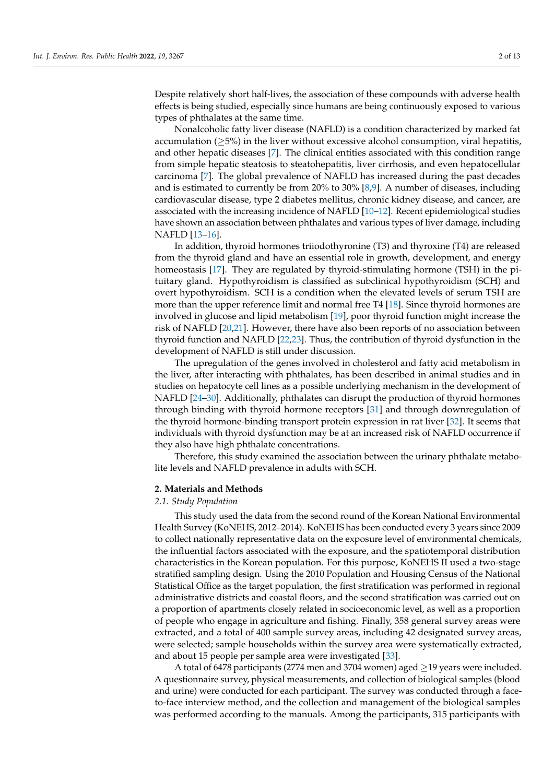Despite relatively short half-lives, the association of these compounds with adverse health effects is being studied, especially since humans are being continuously exposed to various types of phthalates at the same time.

Nonalcoholic fatty liver disease (NAFLD) is a condition characterized by marked fat accumulation ( $\geq$ 5%) in the liver without excessive alcohol consumption, viral hepatitis, and other hepatic diseases [\[7\]](#page-10-5). The clinical entities associated with this condition range from simple hepatic steatosis to steatohepatitis, liver cirrhosis, and even hepatocellular carcinoma [\[7\]](#page-10-5). The global prevalence of NAFLD has increased during the past decades and is estimated to currently be from 20% to 30% [\[8](#page-10-6)[,9\]](#page-10-7). A number of diseases, including cardiovascular disease, type 2 diabetes mellitus, chronic kidney disease, and cancer, are associated with the increasing incidence of NAFLD [\[10–](#page-10-8)[12\]](#page-10-9). Recent epidemiological studies have shown an association between phthalates and various types of liver damage, including NAFLD [\[13–](#page-10-10)[16\]](#page-10-11).

In addition, thyroid hormones triiodothyronine (T3) and thyroxine (T4) are released from the thyroid gland and have an essential role in growth, development, and energy homeostasis [\[17\]](#page-10-12). They are regulated by thyroid-stimulating hormone (TSH) in the pituitary gland. Hypothyroidism is classified as subclinical hypothyroidism (SCH) and overt hypothyroidism. SCH is a condition when the elevated levels of serum TSH are more than the upper reference limit and normal free T4 [\[18\]](#page-10-13). Since thyroid hormones are involved in glucose and lipid metabolism [\[19\]](#page-10-14), poor thyroid function might increase the risk of NAFLD [\[20](#page-10-15)[,21\]](#page-10-16). However, there have also been reports of no association between thyroid function and NAFLD [\[22,](#page-11-0)[23\]](#page-11-1). Thus, the contribution of thyroid dysfunction in the development of NAFLD is still under discussion.

The upregulation of the genes involved in cholesterol and fatty acid metabolism in the liver, after interacting with phthalates, has been described in animal studies and in studies on hepatocyte cell lines as a possible underlying mechanism in the development of NAFLD [\[24](#page-11-2)[–30\]](#page-11-3). Additionally, phthalates can disrupt the production of thyroid hormones through binding with thyroid hormone receptors [\[31\]](#page-11-4) and through downregulation of the thyroid hormone-binding transport protein expression in rat liver [\[32\]](#page-11-5). It seems that individuals with thyroid dysfunction may be at an increased risk of NAFLD occurrence if they also have high phthalate concentrations.

Therefore, this study examined the association between the urinary phthalate metabolite levels and NAFLD prevalence in adults with SCH.

#### **2. Materials and Methods**

## *2.1. Study Population*

This study used the data from the second round of the Korean National Environmental Health Survey (KoNEHS, 2012–2014). KoNEHS has been conducted every 3 years since 2009 to collect nationally representative data on the exposure level of environmental chemicals, the influential factors associated with the exposure, and the spatiotemporal distribution characteristics in the Korean population. For this purpose, KoNEHS II used a two-stage stratified sampling design. Using the 2010 Population and Housing Census of the National Statistical Office as the target population, the first stratification was performed in regional administrative districts and coastal floors, and the second stratification was carried out on a proportion of apartments closely related in socioeconomic level, as well as a proportion of people who engage in agriculture and fishing. Finally, 358 general survey areas were extracted, and a total of 400 sample survey areas, including 42 designated survey areas, were selected; sample households within the survey area were systematically extracted, and about 15 people per sample area were investigated [\[33\]](#page-11-6).

A total of 6478 participants (2774 men and 3704 women) aged  $\geq$ 19 years were included. A questionnaire survey, physical measurements, and collection of biological samples (blood and urine) were conducted for each participant. The survey was conducted through a faceto-face interview method, and the collection and management of the biological samples was performed according to the manuals. Among the participants, 315 participants with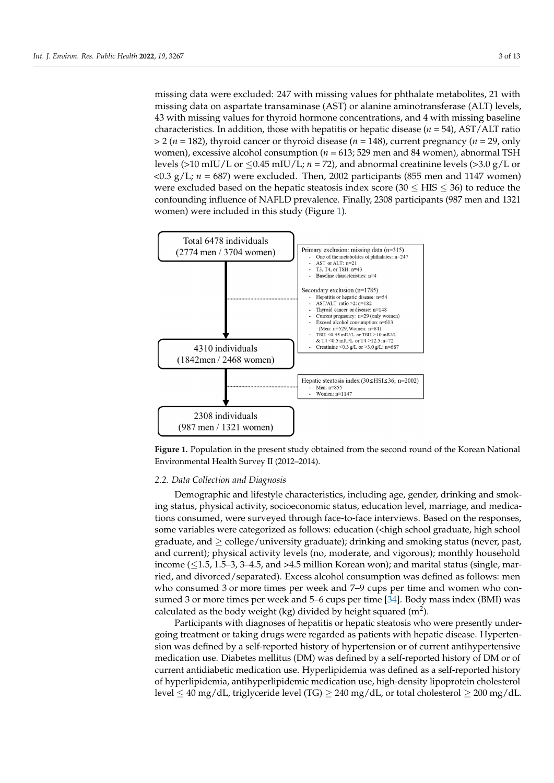missing data were excluded: 247 with missing values for phthalate metabolites, 21 with missing data on aspartate transaminase (AST) or alanine aminotransferase (ALT) levels, 43 with missing values for thyroid hormone concentrations, and 4 with missing baseline characteristics. In addition, those with hepatitis or hepatic disease (*n* = 54), AST/ALT ratio missing baseline characteristics. In addition, those with hepatitis or hepatic disease (*n* =  $>$  2 ( $n$  = 182), thyroid cancer or thyroid disease ( $n$  = 148), current pregnancy ( $n$  = 29, only women), excessive alcohol consumption (*n* = 613; 529 men and 84 women), abnormal TSH levels (>10 mIU/L or  $\leq$ 0.45 mIU/L; *n* = 72), and abnormal creatinine levels (>3.0 g/L or  $\langle 0.3 \text{ g/L}; n = 687$ ) were excluded. Then, 2002 participants (855 men and 1147 women) were excluded based on the hepatic steatosis index score (30  $\leq$  HIS  $\leq$  36) to reduce the confounding influence of NAFLD prevalence. Finally, 2308 participants (987 men and 1321 women) were included in this study (Figure [1\)](#page-2-0).

<span id="page-2-0"></span>

**Figure 1.** Population in the present study obtained from the second round of the Korean National **Figure 1.** Population in the present study obtained from the second round of the Korean National Environmental Health Survey II (2012–2014). Environmental Health Survey II (2012–2014).

# *2.2. Data Collection and Diagnosis 2.2. Data Collection and Diagnosis*

Demographic and lifestyle characteristics, including age, gender, drinking and smok-Demographic and lifestyle characteristics, including age, gender, drinking and smoking status, physical activity, socioeconomic status, education level, marriage, and medica-ing status, physical activity, socioeconomic status, education level, marriage, and medications consumed, were surveyed through face-to-face interviews. Based on the responses, tions consumed, were surveyed through face-to-face interviews. Based on the responses, some variables were categorized as follows: education (<high school graduate, high school some variables were categorized as follows: education (<high school graduate, high school graduate, and ≥ college/university graduate); drinking and smoking status (never, past, graduate, and ≥ college/university graduate); drinking and smoking status (never, past, and current); physical activity levels (no, moderate, and vigorous); monthly household income  $(\leq 1.5, 1.5-3, 3-4.5, \text{ and } >4.5 \text{ million Korean won})$ ; and marital status (single, married, and divorced/separated). Excess alcohol consumption was defined as follows: men ried, and divorced/separated). Excess alcohol consumption was defined as follows: men who consumed 3 or more times per week and 7–9 cups per time and women who con-<br>who consumed 3 or more times per week and 7–9 cups per time and women who con-sumed 3 or more times per week and 5–6 cups per time [\[34\]](#page-11-7). Body mass index (BMI) was  $\frac{1}{2}$ . calculated as the body weight (kg) divided by height squared  $(m^2)$ .

Participants with diagnoses of hepatitis or hepatic steatosis who were presently un-going treatment or taking drugs were regarded as patients with hepatic disease. Hypertendergoing treatment or taking drugs were regarded as patients with hepatic disease. Hy-sion was defined by a self-reported history of hypertension or of current antihypertensive pertension was defined by a self-reported history of hypertension or of current antihyper-medication use. Diabetes mellitus (DM) was defined by a self-reported history of DM or of medication dec. Diabetes memitas (DM) was defined by a self-reported history of DM of of<br>current antidiabetic medication use. Hyperlipidemia was defined as a self-reported history Participants with diagnoses of hepatitis or hepatic steatosis who were presently underof hyperlipidemia, antihyperlipidemic medication use, high-density lipoprotein cholesterol level  $\leq 40$  mg/dL, triglyceride level (TG)  $\geq 240$  mg/dL, or total cholesterol  $\geq 200$  mg/dL.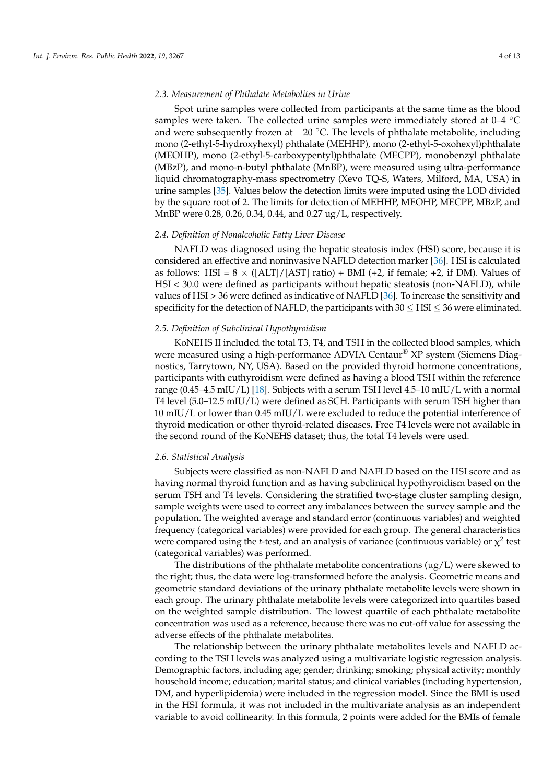## *2.3. Measurement of Phthalate Metabolites in Urine*

Spot urine samples were collected from participants at the same time as the blood samples were taken. The collected urine samples were immediately stored at 0–4 ◦C and were subsequently frozen at  $-20$  °C. The levels of phthalate metabolite, including mono (2-ethyl-5-hydroxyhexyl) phthalate (MEHHP), mono (2-ethyl-5-oxohexyl)phthalate (MEOHP), mono (2-ethyl-5-carboxypentyl)phthalate (MECPP), monobenzyl phthalate (MBzP), and mono-n-butyl phthalate (MnBP), were measured using ultra-performance liquid chromatography-mass spectrometry (Xevo TQ-S, Waters, Milford, MA, USA) in urine samples [\[35\]](#page-11-8). Values below the detection limits were imputed using the LOD divided by the square root of 2. The limits for detection of MEHHP, MEOHP, MECPP, MBzP, and MnBP were 0.28, 0.26, 0.34, 0.44, and 0.27 ug/L, respectively.

## *2.4. Definition of Nonalcoholic Fatty Liver Disease*

NAFLD was diagnosed using the hepatic steatosis index (HSI) score, because it is considered an effective and noninvasive NAFLD detection marker [\[36\]](#page-11-9). HSI is calculated as follows: HSI =  $8 \times (\text{[ALT]/[AST]}$  ratio) + BMI (+2, if female; +2, if DM). Values of HSI < 30.0 were defined as participants without hepatic steatosis (non-NAFLD), while values of HSI > 36 were defined as indicative of NAFLD [\[36\]](#page-11-9). To increase the sensitivity and specificity for the detection of NAFLD, the participants with  $30 \leq HSI \leq 36$  were eliminated.

## *2.5. Definition of Subclinical Hypothyroidism*

KoNEHS II included the total T3, T4, and TSH in the collected blood samples, which were measured using a high-performance ADVIA Centaur<sup>®</sup> XP system (Siemens Diagnostics, Tarrytown, NY, USA). Based on the provided thyroid hormone concentrations, participants with euthyroidism were defined as having a blood TSH within the reference range (0.45–4.5 mIU/L) [\[18\]](#page-10-13). Subjects with a serum TSH level 4.5–10 mIU/L with a normal T4 level (5.0–12.5 mIU/L) were defined as SCH. Participants with serum TSH higher than 10 mIU/L or lower than 0.45 mIU/L were excluded to reduce the potential interference of thyroid medication or other thyroid-related diseases. Free T4 levels were not available in the second round of the KoNEHS dataset; thus, the total T4 levels were used.

### *2.6. Statistical Analysis*

Subjects were classified as non-NAFLD and NAFLD based on the HSI score and as having normal thyroid function and as having subclinical hypothyroidism based on the serum TSH and T4 levels. Considering the stratified two-stage cluster sampling design, sample weights were used to correct any imbalances between the survey sample and the population. The weighted average and standard error (continuous variables) and weighted frequency (categorical variables) were provided for each group. The general characteristics were compared using the *t*-test, and an analysis of variance (continuous variable) or  $\chi^2$  test (categorical variables) was performed.

The distributions of the phthalate metabolite concentrations  $(\mu g/L)$  were skewed to the right; thus, the data were log-transformed before the analysis. Geometric means and geometric standard deviations of the urinary phthalate metabolite levels were shown in each group. The urinary phthalate metabolite levels were categorized into quartiles based on the weighted sample distribution. The lowest quartile of each phthalate metabolite concentration was used as a reference, because there was no cut-off value for assessing the adverse effects of the phthalate metabolites.

The relationship between the urinary phthalate metabolites levels and NAFLD according to the TSH levels was analyzed using a multivariate logistic regression analysis. Demographic factors, including age; gender; drinking; smoking; physical activity; monthly household income; education; marital status; and clinical variables (including hypertension, DM, and hyperlipidemia) were included in the regression model. Since the BMI is used in the HSI formula, it was not included in the multivariate analysis as an independent variable to avoid collinearity. In this formula, 2 points were added for the BMIs of female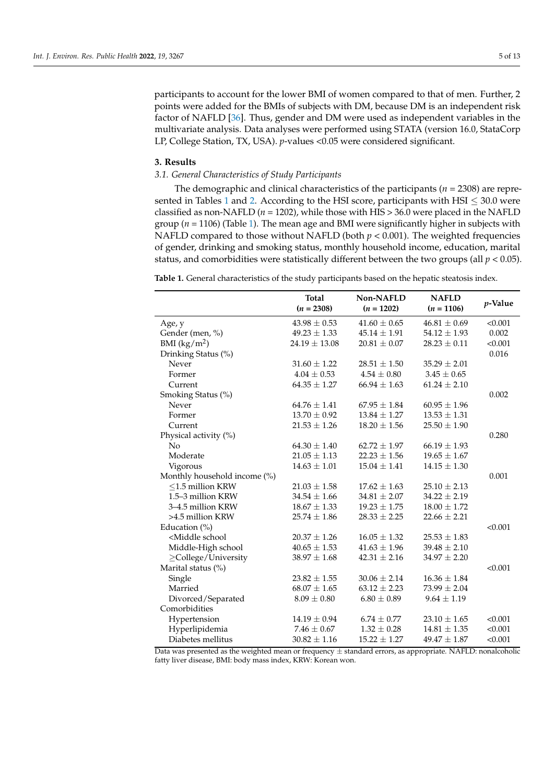participants to account for the lower BMI of women compared to that of men. Further, 2 points were added for the BMIs of subjects with DM, because DM is an independent risk factor of NAFLD [\[36\]](#page-11-9). Thus, gender and DM were used as independent variables in the multivariate analysis. Data analyses were performed using STATA (version 16.0, StataCorp LP, College Station, TX, USA). *p*-values <0.05 were considered significant.

## **3. Results**

## *3.1. General Characteristics of Study Participants*

The demographic and clinical characteristics of the participants (*n* = 2308) are repre-sented in Tables [1](#page-4-0) and [2.](#page-5-0) According to the HSI score, participants with HSI  $\leq 30.0$  were classified as non-NAFLD ( $n = 1202$ ), while those with HIS  $> 36.0$  were placed in the NAFLD group (*n* = 1106) (Table [1\)](#page-4-0). The mean age and BMI were significantly higher in subjects with NAFLD compared to those without NAFLD (both  $p < 0.001$ ). The weighted frequencies of gender, drinking and smoking status, monthly household income, education, marital status, and comorbidities were statistically different between the two groups (all  $p < 0.05$ ).

<span id="page-4-0"></span>**Table 1.** General characteristics of the study participants based on the hepatic steatosis index.

|                                                                                                                                                         | <b>Total</b>      | Non-NAFLD        | <b>NAFLD</b>     |         |
|---------------------------------------------------------------------------------------------------------------------------------------------------------|-------------------|------------------|------------------|---------|
|                                                                                                                                                         | $(n = 2308)$      | $(n = 1202)$     | $(n = 1106)$     | p-Value |
| Age, y                                                                                                                                                  | $43.98 \pm 0.53$  | $41.60 \pm 0.65$ | $46.81 \pm 0.69$ | < 0.001 |
| Gender (men, %)                                                                                                                                         | $49.23 \pm 1.33$  | $45.14 \pm 1.91$ | $54.12 \pm 1.93$ | 0.002   |
| BMI $(kg/m^2)$                                                                                                                                          | $24.19 \pm 13.08$ | $20.81 \pm 0.07$ | $28.23 \pm 0.11$ | < 0.001 |
| Drinking Status (%)                                                                                                                                     |                   |                  |                  | 0.016   |
| Never                                                                                                                                                   | $31.60 \pm 1.22$  | $28.51 \pm 1.50$ | $35.29 \pm 2.01$ |         |
| Former                                                                                                                                                  | $4.04 \pm 0.53$   | $4.54 \pm 0.80$  | $3.45 \pm 0.65$  |         |
| Current                                                                                                                                                 | $64.35 \pm 1.27$  | $66.94 \pm 1.63$ | $61.24 \pm 2.10$ |         |
| Smoking Status (%)                                                                                                                                      |                   |                  |                  | 0.002   |
| Never                                                                                                                                                   | $64.76 \pm 1.41$  | $67.95 \pm 1.84$ | $60.95 \pm 1.96$ |         |
| Former                                                                                                                                                  | $13.70 \pm 0.92$  | $13.84 \pm 1.27$ | $13.53 \pm 1.31$ |         |
| Current                                                                                                                                                 | $21.53 \pm 1.26$  | $18.20 \pm 1.56$ | $25.50 \pm 1.90$ |         |
| Physical activity (%)                                                                                                                                   |                   |                  |                  | 0.280   |
| No                                                                                                                                                      | $64.30 \pm 1.40$  | $62.72 \pm 1.97$ | $66.19 \pm 1.93$ |         |
| Moderate                                                                                                                                                | $21.05 \pm 1.13$  | $22.23 \pm 1.56$ | $19.65 \pm 1.67$ |         |
| Vigorous                                                                                                                                                | $14.63 \pm 1.01$  | $15.04 \pm 1.41$ | $14.15 \pm 1.30$ |         |
| Monthly household income (%)                                                                                                                            |                   |                  |                  | 0.001   |
| $\leq$ 1.5 million KRW                                                                                                                                  | $21.03 \pm 1.58$  | $17.62 \pm 1.63$ | $25.10 \pm 2.13$ |         |
| 1.5–3 million KRW                                                                                                                                       | $34.54 \pm 1.66$  | $34.81 \pm 2.07$ | $34.22 \pm 2.19$ |         |
| 3-4.5 million KRW                                                                                                                                       | $18.67 \pm 1.33$  | $19.23 \pm 1.75$ | $18.00 \pm 1.72$ |         |
| >4.5 million KRW                                                                                                                                        | $25.74 \pm 1.86$  | $28.33 \pm 2.25$ | $22.66 \pm 2.21$ |         |
| Education $(\% )$                                                                                                                                       |                   |                  |                  | < 0.001 |
| <middle school<="" td=""><td><math>20.37 \pm 1.26</math></td><td><math>16.05 \pm 1.32</math></td><td><math>25.53 \pm 1.83</math></td><td></td></middle> | $20.37 \pm 1.26$  | $16.05 \pm 1.32$ | $25.53 \pm 1.83$ |         |
| Middle-High school                                                                                                                                      | $40.65 \pm 1.53$  | $41.63 \pm 1.96$ | $39.48 \pm 2.10$ |         |
| ≥College/University                                                                                                                                     | $38.97 \pm 1.68$  | $42.31 \pm 2.16$ | $34.97 \pm 2.20$ |         |
| Marital status (%)                                                                                                                                      |                   |                  |                  | < 0.001 |
| Single                                                                                                                                                  | $23.82 \pm 1.55$  | $30.06 \pm 2.14$ | $16.36 \pm 1.84$ |         |
| Married                                                                                                                                                 | $68.07 \pm 1.65$  | $63.12 \pm 2.23$ | $73.99 \pm 2.04$ |         |
| Divorced/Separated                                                                                                                                      | $8.09 \pm 0.80$   | $6.80 \pm 0.89$  | $9.64 \pm 1.19$  |         |
| Comorbidities                                                                                                                                           |                   |                  |                  |         |
| Hypertension                                                                                                                                            | $14.19 \pm 0.94$  | $6.74 \pm 0.77$  | $23.10 \pm 1.65$ | < 0.001 |
| Hyperlipidemia                                                                                                                                          | $7.46 \pm 0.67$   | $1.32 \pm 0.28$  | $14.81 \pm 1.35$ | < 0.001 |
| Diabetes mellitus                                                                                                                                       | $30.82 \pm 1.16$  | $15.22 \pm 1.27$ | $49.47 \pm 1.87$ | < 0.001 |

Data was presented as the weighted mean or frequency  $\pm$  standard errors, as appropriate. NAFLD: nonalcoholic fatty liver disease, BMI: body mass index, KRW: Korean won.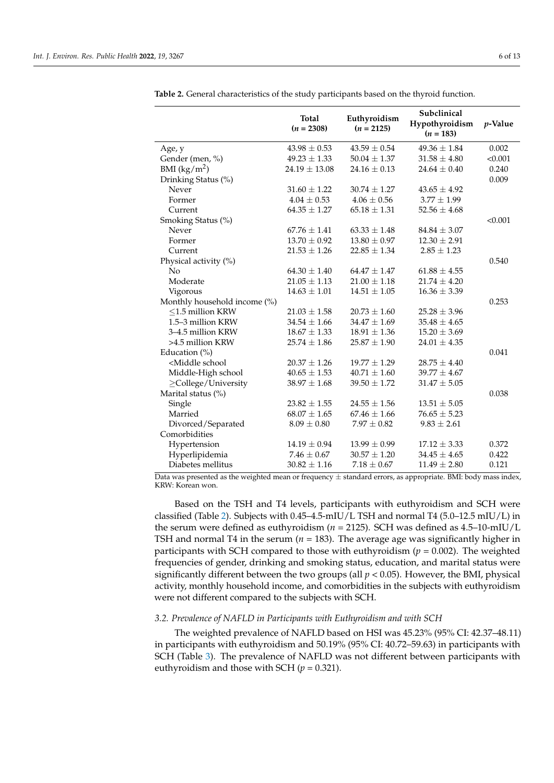|                                                                                                                                                         | <b>Total</b><br>$(n = 2308)$ | Euthyroidism<br>$(n = 2125)$ | Subclinical<br>Hypothyroidism<br>$(n = 183)$ | <i>p</i> -Value |
|---------------------------------------------------------------------------------------------------------------------------------------------------------|------------------------------|------------------------------|----------------------------------------------|-----------------|
| Age, y                                                                                                                                                  | $43.98 \pm 0.53$             | $43.59 \pm 0.54$             | $49.36 \pm 1.84$                             | 0.002           |
| Gender (men, %)                                                                                                                                         | $49.23 \pm 1.33$             | $50.04 \pm 1.37$             | $31.58 \pm 4.80$                             | < 0.001         |
| BMI $(kg/m2)$                                                                                                                                           | $24.19 \pm 13.08$            | $24.16 \pm 0.13$             | $24.64 \pm 0.40$                             | 0.240           |
| Drinking Status (%)                                                                                                                                     |                              |                              |                                              | 0.009           |
| Never                                                                                                                                                   | $31.60 \pm 1.22$             | $30.74 \pm 1.27$             | $43.65 \pm 4.92$                             |                 |
| Former                                                                                                                                                  | $4.04 \pm 0.53$              | $4.06 \pm 0.56$              | $3.77 \pm 1.99$                              |                 |
| Current                                                                                                                                                 | $64.35 \pm 1.27$             | $65.18 \pm 1.31$             | $52.56 \pm 4.68$                             |                 |
| Smoking Status (%)                                                                                                                                      |                              |                              |                                              | < 0.001         |
| Never                                                                                                                                                   | $67.76 \pm 1.41$             | $63.33 \pm 1.48$             | $84.84 \pm 3.07$                             |                 |
| Former                                                                                                                                                  | $13.70 \pm 0.92$             | $13.80 \pm 0.97$             | $12.30 \pm 2.91$                             |                 |
| Current                                                                                                                                                 | $21.53 \pm 1.26$             | $22.85 \pm 1.34$             | $2.85 \pm 1.23$                              |                 |
| Physical activity (%)                                                                                                                                   |                              |                              |                                              | 0.540           |
| No                                                                                                                                                      | $64.30 \pm 1.40$             | $64.47 \pm 1.47$             | $61.88 \pm 4.55$                             |                 |
| Moderate                                                                                                                                                | $21.05 \pm 1.13$             | $21.00 \pm 1.18$             | $21.74 \pm 4.20$                             |                 |
| Vigorous                                                                                                                                                | $14.63 \pm 1.01$             | $14.51 \pm 1.05$             | $16.36 \pm 3.39$                             |                 |
| Monthly household income (%)                                                                                                                            |                              |                              |                                              | 0.253           |
| $<$ 1.5 million KRW                                                                                                                                     | $21.03 \pm 1.58$             | $20.73 \pm 1.60$             | $25.28 \pm 3.96$                             |                 |
| 1.5–3 million KRW                                                                                                                                       | $34.54 \pm 1.66$             | $34.47 \pm 1.69$             | $35.48 \pm 4.65$                             |                 |
| 3-4.5 million KRW                                                                                                                                       | $18.67 \pm 1.33$             | $18.91 \pm 1.36$             | $15.20 \pm 3.69$                             |                 |
| >4.5 million KRW                                                                                                                                        | $25.74 \pm 1.86$             | $25.87 \pm 1.90$             | $24.01 \pm 4.35$                             |                 |
| Education $(\%)$                                                                                                                                        |                              |                              |                                              | 0.041           |
| <middle school<="" td=""><td><math>20.37 \pm 1.26</math></td><td><math>19.77 \pm 1.29</math></td><td><math>28.75 \pm 4.40</math></td><td></td></middle> | $20.37 \pm 1.26$             | $19.77 \pm 1.29$             | $28.75 \pm 4.40$                             |                 |
| Middle-High school                                                                                                                                      | $40.65 \pm 1.53$             | $40.71 \pm 1.60$             | $39.77 \pm 4.67$                             |                 |
| ≥College/University                                                                                                                                     | $38.97 \pm 1.68$             | $39.50 \pm 1.72$             | $31.47 \pm 5.05$                             |                 |
| Marital status (%)                                                                                                                                      |                              |                              |                                              | 0.038           |
| Single                                                                                                                                                  | $23.82 \pm 1.55$             | $24.55 \pm 1.56$             | $13.51 \pm 5.05$                             |                 |
| Married                                                                                                                                                 | $68.07 \pm 1.65$             | $67.46 \pm 1.66$             | $76.65 \pm 5.23$                             |                 |
| Divorced/Separated                                                                                                                                      | $8.09 \pm 0.80$              | $7.97\pm0.82$                | $9.83 \pm 2.61$                              |                 |
| Comorbidities                                                                                                                                           |                              |                              |                                              |                 |
| Hypertension                                                                                                                                            | $14.19 \pm 0.94$             | $13.99 \pm 0.99$             | $17.12 \pm 3.33$                             | 0.372           |
| Hyperlipidemia                                                                                                                                          | $7.46 \pm 0.67$              | $30.57 \pm 1.20$             | $34.45 \pm 4.65$                             | 0.422           |
| Diabetes mellitus                                                                                                                                       | $30.82 \pm 1.16$             | $7.18 \pm 0.67$              | $11.49 \pm 2.80$                             | 0.121           |

<span id="page-5-0"></span>**Table 2.** General characteristics of the study participants based on the thyroid function.

Data was presented as the weighted mean or frequency ± standard errors, as appropriate. BMI: body mass index, KRW: Korean won.

Based on the TSH and T4 levels, participants with euthyroidism and SCH were classified (Table [2\)](#page-5-0). Subjects with 0.45–4.5-mIU/L TSH and normal T4 (5.0–12.5 mIU/L) in the serum were defined as euthyroidism (*n* = 2125). SCH was defined as 4.5–10-mIU/L TSH and normal T4 in the serum (*n* = 183). The average age was significantly higher in participants with SCH compared to those with euthyroidism ( $p = 0.002$ ). The weighted frequencies of gender, drinking and smoking status, education, and marital status were significantly different between the two groups (all  $p < 0.05$ ). However, the BMI, physical activity, monthly household income, and comorbidities in the subjects with euthyroidism were not different compared to the subjects with SCH.

## *3.2. Prevalence of NAFLD in Participants with Euthyroidism and with SCH*

The weighted prevalence of NAFLD based on HSI was 45.23% (95% CI: 42.37–48.11) in participants with euthyroidism and 50.19% (95% CI: 40.72–59.63) in participants with SCH (Table [3\)](#page-6-0). The prevalence of NAFLD was not different between participants with euthyroidism and those with SCH  $(p = 0.321)$ .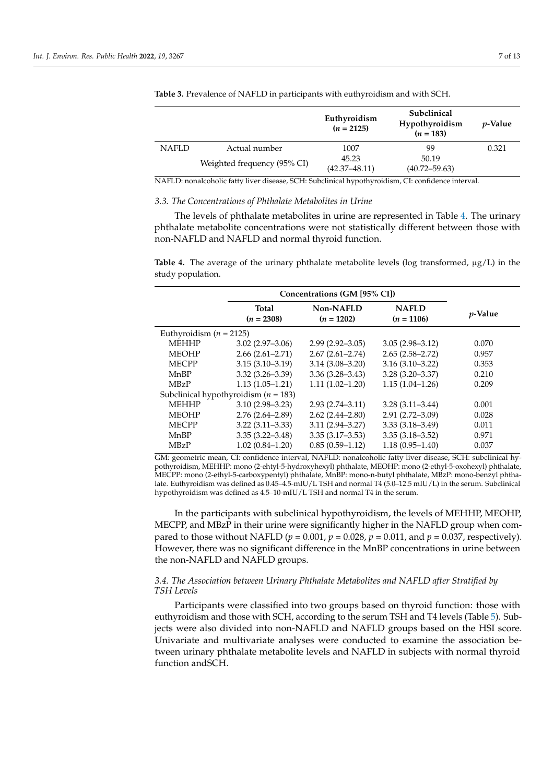|              |                             | Euthyroidism<br>$(n = 2125)$ | Subclinical<br>Hypothyroidism<br>$(n = 183)$ | <i>p</i> -Value |
|--------------|-----------------------------|------------------------------|----------------------------------------------|-----------------|
| <b>NAFLD</b> | Actual number               | 1007                         | 99                                           | 0.321           |
|              | Weighted frequency (95% CI) | 45.23                        | 50.19                                        |                 |
|              |                             | $(42.37 - 48.11)$            | $(40.72 - 59.63)$                            |                 |

<span id="page-6-0"></span>**Table 3.** Prevalence of NAFLD in participants with euthyroidism and with SCH.

NAFLD: nonalcoholic fatty liver disease, SCH: Subclinical hypothyroidism, CI: confidence interval.

## *3.3. The Concentrations of Phthalate Metabolites in Urine*

The levels of phthalate metabolites in urine are represented in Table [4.](#page-6-1) The urinary phthalate metabolite concentrations were not statistically different between those with non-NAFLD and NAFLD and normal thyroid function.

<span id="page-6-1"></span>**Table 4.** The average of the urinary phthalate metabolite levels (log transformed, µg/L) in the study population.

|                                          | Concentrations (GM [95% CI]) |                           |                              |                 |  |  |
|------------------------------------------|------------------------------|---------------------------|------------------------------|-----------------|--|--|
|                                          | Total<br>$(n = 2308)$        | Non-NAFLD<br>$(n = 1202)$ | <b>NAFLD</b><br>$(n = 1106)$ | <i>p</i> -Value |  |  |
| Euthyroidism $(n = 2125)$                |                              |                           |                              |                 |  |  |
| <b>MEHHP</b>                             | $3.02(2.97-3.06)$            | $2.99(2.92 - 3.05)$       | $3.05(2.98 - 3.12)$          | 0.070           |  |  |
| <b>MEOHP</b>                             | $2.66(2.61 - 2.71)$          | $2.67(2.61 - 2.74)$       | $2.65(2.58 - 2.72)$          | 0.957           |  |  |
| <b>MECPP</b>                             | $3.15(3.10-3.19)$            | $3.14(3.08 - 3.20)$       | $3.16(3.10-3.22)$            | 0.353           |  |  |
| MnBP                                     | $3.32(3.26 - 3.39)$          | $3.36(3.28 - 3.43)$       | $3.28(3.20 - 3.37)$          | 0.210           |  |  |
| <b>MBzP</b>                              | $1.13(1.05-1.21)$            | $1.11(1.02 - 1.20)$       | $1.15(1.04-1.26)$            | 0.209           |  |  |
| Subclinical hypothyroidism ( $n = 183$ ) |                              |                           |                              |                 |  |  |
| <b>MEHHP</b>                             | $3.10(2.98 - 3.23)$          | $2.93(2.74 - 3.11)$       | $3.28(3.11 - 3.44)$          | 0.001           |  |  |
| <b>MEOHP</b>                             | $2.76(2.64 - 2.89)$          | $2.62(2.44 - 2.80)$       | $2.91(2.72 - 3.09)$          | 0.028           |  |  |
| <b>MECPP</b>                             | $3.22(3.11 - 3.33)$          | $3.11(2.94 - 3.27)$       | $3.33(3.18 - 3.49)$          | 0.011           |  |  |
| MnBP                                     | $3.35(3.22 - 3.48)$          | $3.35(3.17-3.53)$         | $3.35(3.18 - 3.52)$          | 0.971           |  |  |
| <b>MBzP</b>                              | $1.02(0.84 - 1.20)$          | $0.85(0.59-1.12)$         | $1.18(0.95 - 1.40)$          | 0.037           |  |  |

GM: geometric mean, CI: confidence interval, NAFLD: nonalcoholic fatty liver disease, SCH: subclinical hypothyroidism, MEHHP: mono (2-ehtyl-5-hydroxyhexyl) phthalate, MEOHP: mono (2-ethyl-5-oxohexyl) phthalate, MECPP: mono (2-ethyl-5-carboxypentyl) phthalate, MnBP: mono-n-butyl phthalate, MBzP: mono-benzyl phthalate. Euthyroidism was defined as 0.45–4.5-mIU/L TSH and normal T4 (5.0–12.5 mIU/L) in the serum. Subclinical hypothyroidism was defined as 4.5–10-mIU/L TSH and normal T4 in the serum.

In the participants with subclinical hypothyroidism, the levels of MEHHP, MEOHP, MECPP, and MBzP in their urine were significantly higher in the NAFLD group when compared to those without NAFLD ( $p = 0.001$ ,  $p = 0.028$ ,  $p = 0.011$ , and  $p = 0.037$ , respectively). However, there was no significant difference in the MnBP concentrations in urine between the non-NAFLD and NAFLD groups.

## *3.4. The Association between Urinary Phthalate Metabolites and NAFLD after Stratified by TSH Levels*

Participants were classified into two groups based on thyroid function: those with euthyroidism and those with SCH, according to the serum TSH and T4 levels (Table [5\)](#page-7-0). Subjects were also divided into non-NAFLD and NAFLD groups based on the HSI score. Univariate and multivariate analyses were conducted to examine the association between urinary phthalate metabolite levels and NAFLD in subjects with normal thyroid function andSCH.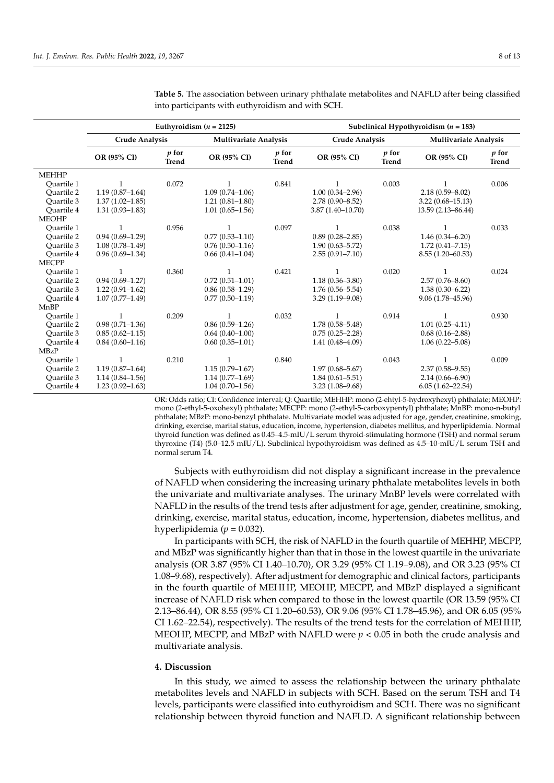|              | Euthyroidism $(n = 2125)$ |                         |                              | Subclinical Hypothyroidism $(n = 183)$ |                       |                       |                              |                       |
|--------------|---------------------------|-------------------------|------------------------------|----------------------------------------|-----------------------|-----------------------|------------------------------|-----------------------|
|              | <b>Crude Analysis</b>     |                         | <b>Multivariate Analysis</b> |                                        | <b>Crude Analysis</b> |                       | <b>Multivariate Analysis</b> |                       |
|              | OR (95% CI)               | $p$ for<br><b>Trend</b> | OR (95% CI)                  | $p$ for<br><b>Trend</b>                | OR (95% CI)           | p for<br><b>Trend</b> | OR (95% CI)                  | p for<br><b>Trend</b> |
| <b>MEHHP</b> |                           |                         |                              |                                        |                       |                       |                              |                       |
| Ouartile 1   | $\mathbf{1}$              | 0.072                   | 1                            | 0.841                                  | 1                     | 0.003                 | 1                            | 0.006                 |
| Ouartile 2   | $1.19(0.87 - 1.64)$       |                         | $1.09(0.74 - 1.06)$          |                                        | $1.00(0.34 - 2.96)$   |                       | $2.18(0.59 - 8.02)$          |                       |
| Ouartile 3   | $1.37(1.02 - 1.85)$       |                         | $1.21(0.81 - 1.80)$          |                                        | $2.78(0.90 - 8.52)$   |                       | $3.22(0.68 - 15.13)$         |                       |
| Ouartile 4   | $1.31(0.93 - 1.83)$       |                         | $1.01(0.65 - 1.56)$          |                                        | $3.87(1.40 - 10.70)$  |                       | 13.59 (2.13–86.44)           |                       |
| <b>MEOHP</b> |                           |                         |                              |                                        |                       |                       |                              |                       |
| Ouartile 1   | $\mathbf{1}$              | 0.956                   |                              | 0.097                                  | $\mathbf{1}$          | 0.038                 | $\mathbf{1}$                 | 0.033                 |
| Ouartile 2   | $0.94(0.69-1.29)$         |                         | $0.77(0.53 - 1.10)$          |                                        | $0.89(0.28 - 2.85)$   |                       | $1.46(0.34 - 6.20)$          |                       |
| Ouartile 3   | $1.08(0.78 - 1.49)$       |                         | $0.76(0.50-1.16)$            |                                        | $1.90(0.63 - 5.72)$   |                       | $1.72(0.41 - 7.15)$          |                       |
| Ouartile 4   | $0.96(0.69 - 1.34)$       |                         | $0.66(0.41-1.04)$            |                                        | $2.55(0.91 - 7.10)$   |                       | $8.55(1.20 - 60.53)$         |                       |
| <b>MECPP</b> |                           |                         |                              |                                        |                       |                       |                              |                       |
| Ouartile 1   | $\mathbf{1}$              | 0.360                   | 1                            | 0.421                                  | $\mathbf{1}$          | 0.020                 | $\mathbf{1}$                 | 0.024                 |
| Ouartile 2   | $0.94(0.69 - 1.27)$       |                         | $0.72(0.51 - 1.01)$          |                                        | $1.18(0.36 - 3.80)$   |                       | $2.57(0.76 - 8.60)$          |                       |
| Ouartile 3   | $1.22(0.91 - 1.62)$       |                         | $0.86(0.58-1.29)$            |                                        | $1.76(0.56 - 5.54)$   |                       | $1.38(0.30 - 6.22)$          |                       |
| Ouartile 4   | $1.07(0.77 - 1.49)$       |                         | $0.77(0.50-1.19)$            |                                        | $3.29(1.19 - 9.08)$   |                       | 9.06 (1.78-45.96)            |                       |
| MnBP         |                           |                         |                              |                                        |                       |                       |                              |                       |
| Ouartile 1   | 1                         | 0.209                   |                              | 0.032                                  | 1                     | 0.914                 | 1                            | 0.930                 |
| Ouartile 2   | $0.98(0.71 - 1.36)$       |                         | $0.86(0.59-1.26)$            |                                        | $1.78(0.58 - 5.48)$   |                       | $1.01(0.25 - 4.11)$          |                       |
| Ouartile 3   | $0.85(0.62 - 1.15)$       |                         | $0.64(0.40-1.00)$            |                                        | $0.75(0.25 - 2.28)$   |                       | $0.68(0.16 - 2.88)$          |                       |
| Ouartile 4   | $0.84(0.60-1.16)$         |                         | $0.60(0.35 - 1.01)$          |                                        | $1.41(0.48 - 4.09)$   |                       | $1.06(0.22 - 5.08)$          |                       |
| <b>MBzP</b>  |                           |                         |                              |                                        |                       |                       |                              |                       |
| Ouartile 1   |                           | 0.210                   |                              | 0.840                                  |                       | 0.043                 |                              | 0.009                 |
| Ouartile 2   | $1.19(0.87 - 1.64)$       |                         | $1.15(0.79 - 1.67)$          |                                        | $1.97(0.68 - 5.67)$   |                       | $2.37(0.58 - 9.55)$          |                       |
| Ouartile 3   | $1.14(0.84 - 1.56)$       |                         | $1.14(0.77-1.69)$            |                                        | $1.84(0.61 - 5.51)$   |                       | $2.14(0.66 - 6.90)$          |                       |
| Quartile 4   | $1.23(0.92 - 1.63)$       |                         | $1.04(0.70 - 1.56)$          |                                        | $3.23(1.08 - 9.68)$   |                       | $6.05(1.62 - 22.54)$         |                       |

<span id="page-7-0"></span>**Table 5.** The association between urinary phthalate metabolites and NAFLD after being classified into participants with euthyroidism and with SCH.

OR: Odds ratio; CI: Confidence interval; Q: Quartile; MEHHP: mono (2-ehtyl-5-hydroxyhexyl) phthalate; MEOHP: mono (2-ethyl-5-oxohexyl) phthalate; MECPP: mono (2-ethyl-5-carboxypentyl) phthalate; MnBP: mono-n-butyl phthalate; MBzP: mono-benzyl phthalate. Multivariate model was adjusted for age, gender, creatinine, smoking, drinking, exercise, marital status, education, income, hypertension, diabetes mellitus, and hyperlipidemia. Normal thyroid function was defined as 0.45–4.5-mIU/L serum thyroid-stimulating hormone (TSH) and normal serum thyroxine (T4) (5.0–12.5 mIU/L). Subclinical hypothyroidism was defined as 4.5–10-mIU/L serum TSH and normal serum T4.

Subjects with euthyroidism did not display a significant increase in the prevalence of NAFLD when considering the increasing urinary phthalate metabolites levels in both the univariate and multivariate analyses. The urinary MnBP levels were correlated with NAFLD in the results of the trend tests after adjustment for age, gender, creatinine, smoking, drinking, exercise, marital status, education, income, hypertension, diabetes mellitus, and hyperlipidemia ( $p = 0.032$ ).

In participants with SCH, the risk of NAFLD in the fourth quartile of MEHHP, MECPP, and MBzP was significantly higher than that in those in the lowest quartile in the univariate analysis (OR 3.87 (95% CI 1.40–10.70), OR 3.29 (95% CI 1.19–9.08), and OR 3.23 (95% CI 1.08–9.68), respectively). After adjustment for demographic and clinical factors, participants in the fourth quartile of MEHHP, MEOHP, MECPP, and MBzP displayed a significant increase of NAFLD risk when compared to those in the lowest quartile (OR 13.59 (95% CI 2.13–86.44), OR 8.55 (95% CI 1.20–60.53), OR 9.06 (95% CI 1.78–45.96), and OR 6.05 (95% CI 1.62–22.54), respectively). The results of the trend tests for the correlation of MEHHP, MEOHP, MECPP, and MBzP with NAFLD were  $p < 0.05$  in both the crude analysis and multivariate analysis.

### **4. Discussion**

In this study, we aimed to assess the relationship between the urinary phthalate metabolites levels and NAFLD in subjects with SCH. Based on the serum TSH and T4 levels, participants were classified into euthyroidism and SCH. There was no significant relationship between thyroid function and NAFLD. A significant relationship between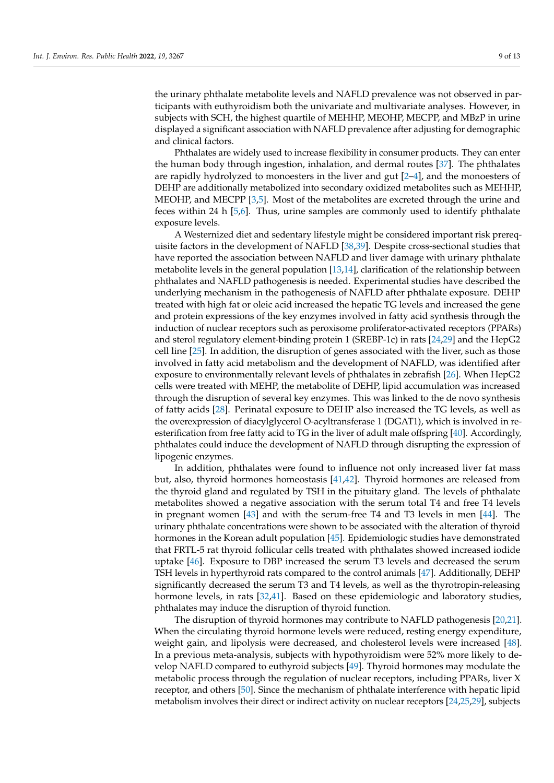the urinary phthalate metabolite levels and NAFLD prevalence was not observed in participants with euthyroidism both the univariate and multivariate analyses. However, in subjects with SCH, the highest quartile of MEHHP, MEOHP, MECPP, and MBzP in urine displayed a significant association with NAFLD prevalence after adjusting for demographic and clinical factors.

Phthalates are widely used to increase flexibility in consumer products. They can enter the human body through ingestion, inhalation, and dermal routes [\[37\]](#page-11-10). The phthalates are rapidly hydrolyzed to monoesters in the liver and gut [\[2](#page-10-1)[–4\]](#page-10-2), and the monoesters of DEHP are additionally metabolized into secondary oxidized metabolites such as MEHHP, MEOHP, and MECPP [\[3](#page-10-17)[,5\]](#page-10-3). Most of the metabolites are excreted through the urine and feces within 24 h [\[5,](#page-10-3)[6\]](#page-10-4). Thus, urine samples are commonly used to identify phthalate exposure levels.

A Westernized diet and sedentary lifestyle might be considered important risk prerequisite factors in the development of NAFLD [\[38,](#page-11-11)[39\]](#page-11-12). Despite cross-sectional studies that have reported the association between NAFLD and liver damage with urinary phthalate metabolite levels in the general population  $[13,14]$  $[13,14]$ , clarification of the relationship between phthalates and NAFLD pathogenesis is needed. Experimental studies have described the underlying mechanism in the pathogenesis of NAFLD after phthalate exposure. DEHP treated with high fat or oleic acid increased the hepatic TG levels and increased the gene and protein expressions of the key enzymes involved in fatty acid synthesis through the induction of nuclear receptors such as peroxisome proliferator-activated receptors (PPARs) and sterol regulatory element-binding protein 1 (SREBP-1c) in rats [\[24,](#page-11-2)[29\]](#page-11-13) and the HepG2 cell line [\[25\]](#page-11-14). In addition, the disruption of genes associated with the liver, such as those involved in fatty acid metabolism and the development of NAFLD, was identified after exposure to environmentally relevant levels of phthalates in zebrafish [\[26\]](#page-11-15). When HepG2 cells were treated with MEHP, the metabolite of DEHP, lipid accumulation was increased through the disruption of several key enzymes. This was linked to the de novo synthesis of fatty acids [\[28\]](#page-11-16). Perinatal exposure to DEHP also increased the TG levels, as well as the overexpression of diacylglycerol O-acyltransferase 1 (DGAT1), which is involved in reesterification from free fatty acid to TG in the liver of adult male offspring [\[40\]](#page-11-17). Accordingly, phthalates could induce the development of NAFLD through disrupting the expression of lipogenic enzymes.

In addition, phthalates were found to influence not only increased liver fat mass but, also, thyroid hormones homeostasis [\[41](#page-11-18)[,42\]](#page-11-19). Thyroid hormones are released from the thyroid gland and regulated by TSH in the pituitary gland. The levels of phthalate metabolites showed a negative association with the serum total T4 and free T4 levels in pregnant women [\[43\]](#page-11-20) and with the serum-free T4 and T3 levels in men [\[44\]](#page-11-21). The urinary phthalate concentrations were shown to be associated with the alteration of thyroid hormones in the Korean adult population [\[45\]](#page-11-22). Epidemiologic studies have demonstrated that FRTL-5 rat thyroid follicular cells treated with phthalates showed increased iodide uptake [\[46\]](#page-11-23). Exposure to DBP increased the serum T3 levels and decreased the serum TSH levels in hyperthyroid rats compared to the control animals [\[47\]](#page-11-24). Additionally, DEHP significantly decreased the serum T3 and T4 levels, as well as the thyrotropin-releasing hormone levels, in rats [\[32](#page-11-5)[,41\]](#page-11-18). Based on these epidemiologic and laboratory studies, phthalates may induce the disruption of thyroid function.

The disruption of thyroid hormones may contribute to NAFLD pathogenesis [\[20,](#page-10-15)[21\]](#page-10-16). When the circulating thyroid hormone levels were reduced, resting energy expenditure, weight gain, and lipolysis were decreased, and cholesterol levels were increased [\[48\]](#page-11-25). In a previous meta-analysis, subjects with hypothyroidism were 52% more likely to develop NAFLD compared to euthyroid subjects [\[49\]](#page-12-0). Thyroid hormones may modulate the metabolic process through the regulation of nuclear receptors, including PPARs, liver X receptor, and others [\[50\]](#page-12-1). Since the mechanism of phthalate interference with hepatic lipid metabolism involves their direct or indirect activity on nuclear receptors [\[24](#page-11-2)[,25,](#page-11-14)[29\]](#page-11-13), subjects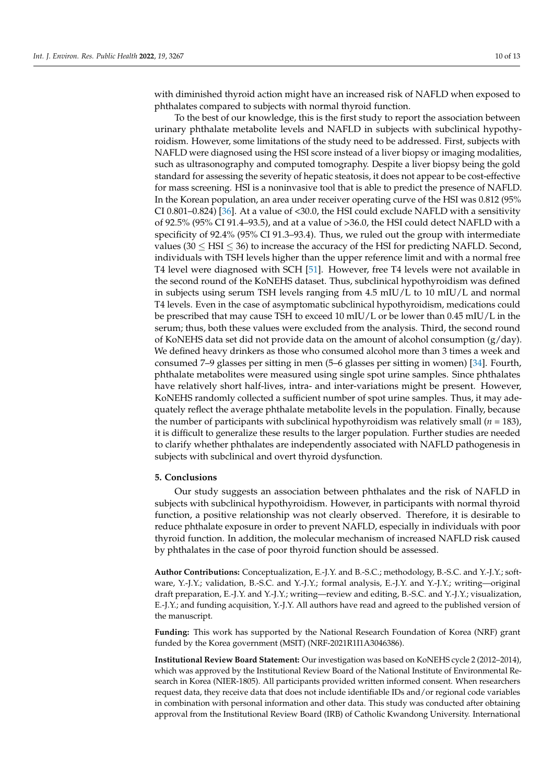with diminished thyroid action might have an increased risk of NAFLD when exposed to phthalates compared to subjects with normal thyroid function.

To the best of our knowledge, this is the first study to report the association between urinary phthalate metabolite levels and NAFLD in subjects with subclinical hypothyroidism. However, some limitations of the study need to be addressed. First, subjects with NAFLD were diagnosed using the HSI score instead of a liver biopsy or imaging modalities, such as ultrasonography and computed tomography. Despite a liver biopsy being the gold standard for assessing the severity of hepatic steatosis, it does not appear to be cost-effective for mass screening. HSI is a noninvasive tool that is able to predict the presence of NAFLD. In the Korean population, an area under receiver operating curve of the HSI was 0.812 (95% CI 0.801–0.824) [\[36\]](#page-11-9). At a value of <30.0, the HSI could exclude NAFLD with a sensitivity of 92.5% (95% CI 91.4–93.5), and at a value of >36.0, the HSI could detect NAFLD with a specificity of 92.4% (95% CI 91.3–93.4). Thus, we ruled out the group with intermediate values (30  $\leq$  HSI  $\leq$  36) to increase the accuracy of the HSI for predicting NAFLD. Second, individuals with TSH levels higher than the upper reference limit and with a normal free T4 level were diagnosed with SCH [\[51\]](#page-12-2). However, free T4 levels were not available in the second round of the KoNEHS dataset. Thus, subclinical hypothyroidism was defined in subjects using serum TSH levels ranging from 4.5 mIU/L to 10 mIU/L and normal T4 levels. Even in the case of asymptomatic subclinical hypothyroidism, medications could be prescribed that may cause TSH to exceed 10 mIU/L or be lower than 0.45 mIU/L in the serum; thus, both these values were excluded from the analysis. Third, the second round of KoNEHS data set did not provide data on the amount of alcohol consumption (g/day). We defined heavy drinkers as those who consumed alcohol more than 3 times a week and consumed 7–9 glasses per sitting in men (5–6 glasses per sitting in women) [\[34\]](#page-11-7). Fourth, phthalate metabolites were measured using single spot urine samples. Since phthalates have relatively short half-lives, intra- and inter-variations might be present. However, KoNEHS randomly collected a sufficient number of spot urine samples. Thus, it may adequately reflect the average phthalate metabolite levels in the population. Finally, because the number of participants with subclinical hypothyroidism was relatively small (*n* = 183), it is difficult to generalize these results to the larger population. Further studies are needed to clarify whether phthalates are independently associated with NAFLD pathogenesis in subjects with subclinical and overt thyroid dysfunction.

### **5. Conclusions**

Our study suggests an association between phthalates and the risk of NAFLD in subjects with subclinical hypothyroidism. However, in participants with normal thyroid function, a positive relationship was not clearly observed. Therefore, it is desirable to reduce phthalate exposure in order to prevent NAFLD, especially in individuals with poor thyroid function. In addition, the molecular mechanism of increased NAFLD risk caused by phthalates in the case of poor thyroid function should be assessed.

**Author Contributions:** Conceptualization, E.-J.Y. and B.-S.C.; methodology, B.-S.C. and Y.-J.Y.; software, Y.-J.Y.; validation, B.-S.C. and Y.-J.Y.; formal analysis, E.-J.Y. and Y.-J.Y.; writing—original draft preparation, E.-J.Y. and Y.-J.Y.; writing—review and editing, B.-S.C. and Y.-J.Y.; visualization, E.-J.Y.; and funding acquisition, Y.-J.Y. All authors have read and agreed to the published version of the manuscript.

**Funding:** This work has supported by the National Research Foundation of Korea (NRF) grant funded by the Korea government (MSIT) (NRF-2021R1I1A3046386).

**Institutional Review Board Statement:** Our investigation was based on KoNEHS cycle 2 (2012–2014), which was approved by the Institutional Review Board of the National Institute of Environmental Research in Korea (NIER-1805). All participants provided written informed consent. When researchers request data, they receive data that does not include identifiable IDs and/or regional code variables in combination with personal information and other data. This study was conducted after obtaining approval from the Institutional Review Board (IRB) of Catholic Kwandong University. International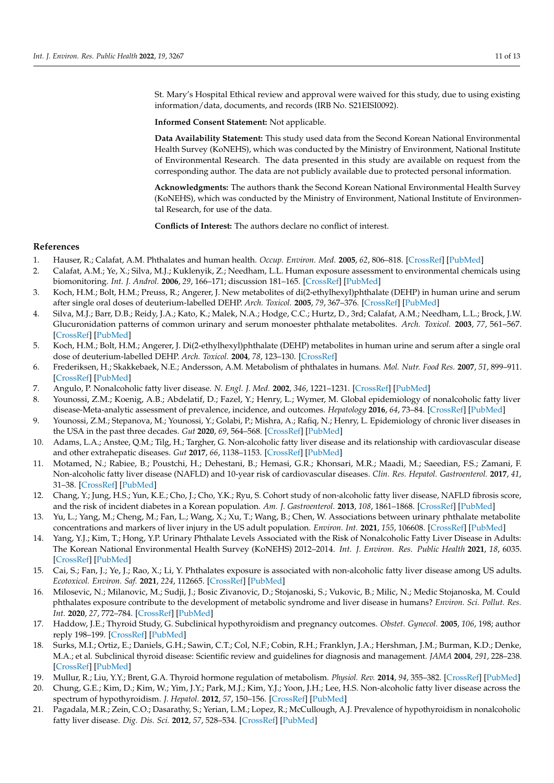St. Mary's Hospital Ethical review and approval were waived for this study, due to using existing information/data, documents, and records (IRB No. S21EISI0092).

**Informed Consent Statement:** Not applicable.

**Data Availability Statement:** This study used data from the Second Korean National Environmental Health Survey (KoNEHS), which was conducted by the Ministry of Environment, National Institute of Environmental Research. The data presented in this study are available on request from the corresponding author. The data are not publicly available due to protected personal information.

**Acknowledgments:** The authors thank the Second Korean National Environmental Health Survey (KoNEHS), which was conducted by the Ministry of Environment, National Institute of Environmental Research, for use of the data.

**Conflicts of Interest:** The authors declare no conflict of interest.

#### **References**

- <span id="page-10-0"></span>1. Hauser, R.; Calafat, A.M. Phthalates and human health. *Occup. Environ. Med.* **2005**, *62*, 806–818. [\[CrossRef\]](http://doi.org/10.1136/oem.2004.017590) [\[PubMed\]](http://www.ncbi.nlm.nih.gov/pubmed/16234408)
- <span id="page-10-1"></span>2. Calafat, A.M.; Ye, X.; Silva, M.J.; Kuklenyik, Z.; Needham, L.L. Human exposure assessment to environmental chemicals using biomonitoring. *Int. J. Androl.* **2006**, *29*, 166–171; discussion 181–165. [\[CrossRef\]](http://doi.org/10.1111/j.1365-2605.2005.00570.x) [\[PubMed\]](http://www.ncbi.nlm.nih.gov/pubmed/16466536)
- <span id="page-10-17"></span>3. Koch, H.M.; Bolt, H.M.; Preuss, R.; Angerer, J. New metabolites of di(2-ethylhexyl)phthalate (DEHP) in human urine and serum after single oral doses of deuterium-labelled DEHP. *Arch. Toxicol.* **2005**, *79*, 367–376. [\[CrossRef\]](http://doi.org/10.1007/s00204-004-0642-4) [\[PubMed\]](http://www.ncbi.nlm.nih.gov/pubmed/15700144)
- <span id="page-10-2"></span>4. Silva, M.J.; Barr, D.B.; Reidy, J.A.; Kato, K.; Malek, N.A.; Hodge, C.C.; Hurtz, D., 3rd; Calafat, A.M.; Needham, L.L.; Brock, J.W. Glucuronidation patterns of common urinary and serum monoester phthalate metabolites. *Arch. Toxicol.* **2003**, *77*, 561–567. [\[CrossRef\]](http://doi.org/10.1007/s00204-003-0486-3) [\[PubMed\]](http://www.ncbi.nlm.nih.gov/pubmed/14574443)
- <span id="page-10-3"></span>5. Koch, H.M.; Bolt, H.M.; Angerer, J. Di(2-ethylhexyl)phthalate (DEHP) metabolites in human urine and serum after a single oral dose of deuterium-labelled DEHP. *Arch. Toxicol.* **2004**, *78*, 123–130. [\[CrossRef\]](http://doi.org/10.1007/s00204-003-0522-3)
- <span id="page-10-4"></span>6. Frederiksen, H.; Skakkebaek, N.E.; Andersson, A.M. Metabolism of phthalates in humans. *Mol. Nutr. Food Res.* **2007**, *51*, 899–911. [\[CrossRef\]](http://doi.org/10.1002/mnfr.200600243) [\[PubMed\]](http://www.ncbi.nlm.nih.gov/pubmed/17604388)
- <span id="page-10-5"></span>7. Angulo, P. Nonalcoholic fatty liver disease. *N. Engl. J. Med.* **2002**, *346*, 1221–1231. [\[CrossRef\]](http://doi.org/10.1056/NEJMra011775) [\[PubMed\]](http://www.ncbi.nlm.nih.gov/pubmed/11961152)
- <span id="page-10-6"></span>8. Younossi, Z.M.; Koenig, A.B.; Abdelatif, D.; Fazel, Y.; Henry, L.; Wymer, M. Global epidemiology of nonalcoholic fatty liver disease-Meta-analytic assessment of prevalence, incidence, and outcomes. *Hepatology* **2016**, *64*, 73–84. [\[CrossRef\]](http://doi.org/10.1002/hep.28431) [\[PubMed\]](http://www.ncbi.nlm.nih.gov/pubmed/26707365)
- <span id="page-10-7"></span>9. Younossi, Z.M.; Stepanova, M.; Younossi, Y.; Golabi, P.; Mishra, A.; Rafiq, N.; Henry, L. Epidemiology of chronic liver diseases in the USA in the past three decades. *Gut* **2020**, *69*, 564–568. [\[CrossRef\]](http://doi.org/10.1136/gutjnl-2019-318813) [\[PubMed\]](http://www.ncbi.nlm.nih.gov/pubmed/31366455)
- <span id="page-10-8"></span>10. Adams, L.A.; Anstee, Q.M.; Tilg, H.; Targher, G. Non-alcoholic fatty liver disease and its relationship with cardiovascular disease and other extrahepatic diseases. *Gut* **2017**, *66*, 1138–1153. [\[CrossRef\]](http://doi.org/10.1136/gutjnl-2017-313884) [\[PubMed\]](http://www.ncbi.nlm.nih.gov/pubmed/28314735)
- 11. Motamed, N.; Rabiee, B.; Poustchi, H.; Dehestani, B.; Hemasi, G.R.; Khonsari, M.R.; Maadi, M.; Saeedian, F.S.; Zamani, F. Non-alcoholic fatty liver disease (NAFLD) and 10-year risk of cardiovascular diseases. *Clin. Res. Hepatol. Gastroenterol.* **2017**, *41*, 31–38. [\[CrossRef\]](http://doi.org/10.1016/j.clinre.2016.07.005) [\[PubMed\]](http://www.ncbi.nlm.nih.gov/pubmed/27597641)
- <span id="page-10-9"></span>12. Chang, Y.; Jung, H.S.; Yun, K.E.; Cho, J.; Cho, Y.K.; Ryu, S. Cohort study of non-alcoholic fatty liver disease, NAFLD fibrosis score, and the risk of incident diabetes in a Korean population. *Am. J. Gastroenterol.* **2013**, *108*, 1861–1868. [\[CrossRef\]](http://doi.org/10.1038/ajg.2013.349) [\[PubMed\]](http://www.ncbi.nlm.nih.gov/pubmed/24100261)
- <span id="page-10-10"></span>13. Yu, L.; Yang, M.; Cheng, M.; Fan, L.; Wang, X.; Xu, T.; Wang, B.; Chen, W. Associations between urinary phthalate metabolite concentrations and markers of liver injury in the US adult population. *Environ. Int.* **2021**, *155*, 106608. [\[CrossRef\]](http://doi.org/10.1016/j.envint.2021.106608) [\[PubMed\]](http://www.ncbi.nlm.nih.gov/pubmed/33964644)
- <span id="page-10-18"></span>14. Yang, Y.J.; Kim, T.; Hong, Y.P. Urinary Phthalate Levels Associated with the Risk of Nonalcoholic Fatty Liver Disease in Adults: The Korean National Environmental Health Survey (KoNEHS) 2012–2014. *Int. J. Environ. Res. Public Health* **2021**, *18*, 6035. [\[CrossRef\]](http://doi.org/10.3390/ijerph18116035) [\[PubMed\]](http://www.ncbi.nlm.nih.gov/pubmed/34199698)
- 15. Cai, S.; Fan, J.; Ye, J.; Rao, X.; Li, Y. Phthalates exposure is associated with non-alcoholic fatty liver disease among US adults. *Ecotoxicol. Environ. Saf.* **2021**, *224*, 112665. [\[CrossRef\]](http://doi.org/10.1016/j.ecoenv.2021.112665) [\[PubMed\]](http://www.ncbi.nlm.nih.gov/pubmed/34438269)
- <span id="page-10-11"></span>16. Milosevic, N.; Milanovic, M.; Sudji, J.; Bosic Zivanovic, D.; Stojanoski, S.; Vukovic, B.; Milic, N.; Medic Stojanoska, M. Could phthalates exposure contribute to the development of metabolic syndrome and liver disease in humans? *Environ. Sci. Pollut. Res. Int.* **2020**, *27*, 772–784. [\[CrossRef\]](http://doi.org/10.1007/s11356-019-06831-2) [\[PubMed\]](http://www.ncbi.nlm.nih.gov/pubmed/31808097)
- <span id="page-10-12"></span>17. Haddow, J.E.; Thyroid Study, G. Subclinical hypothyroidism and pregnancy outcomes. *Obstet. Gynecol.* **2005**, *106*, 198; author reply 198–199. [\[CrossRef\]](http://doi.org/10.1097/01.AOG.0000169596.53498.7a) [\[PubMed\]](http://www.ncbi.nlm.nih.gov/pubmed/15994654)
- <span id="page-10-13"></span>18. Surks, M.I.; Ortiz, E.; Daniels, G.H.; Sawin, C.T.; Col, N.F.; Cobin, R.H.; Franklyn, J.A.; Hershman, J.M.; Burman, K.D.; Denke, M.A.; et al. Subclinical thyroid disease: Scientific review and guidelines for diagnosis and management. *JAMA* **2004**, *291*, 228–238. [\[CrossRef\]](http://doi.org/10.1001/jama.291.2.228) [\[PubMed\]](http://www.ncbi.nlm.nih.gov/pubmed/14722150)
- <span id="page-10-14"></span>19. Mullur, R.; Liu, Y.Y.; Brent, G.A. Thyroid hormone regulation of metabolism. *Physiol. Rev.* **2014**, *94*, 355–382. [\[CrossRef\]](http://doi.org/10.1152/physrev.00030.2013) [\[PubMed\]](http://www.ncbi.nlm.nih.gov/pubmed/24692351)
- <span id="page-10-15"></span>20. Chung, G.E.; Kim, D.; Kim, W.; Yim, J.Y.; Park, M.J.; Kim, Y.J.; Yoon, J.H.; Lee, H.S. Non-alcoholic fatty liver disease across the spectrum of hypothyroidism. *J. Hepatol.* **2012**, *57*, 150–156. [\[CrossRef\]](http://doi.org/10.1016/j.jhep.2012.02.027) [\[PubMed\]](http://www.ncbi.nlm.nih.gov/pubmed/22425701)
- <span id="page-10-16"></span>21. Pagadala, M.R.; Zein, C.O.; Dasarathy, S.; Yerian, L.M.; Lopez, R.; McCullough, A.J. Prevalence of hypothyroidism in nonalcoholic fatty liver disease. *Dig. Dis. Sci.* **2012**, *57*, 528–534. [\[CrossRef\]](http://doi.org/10.1007/s10620-011-2006-2) [\[PubMed\]](http://www.ncbi.nlm.nih.gov/pubmed/22183820)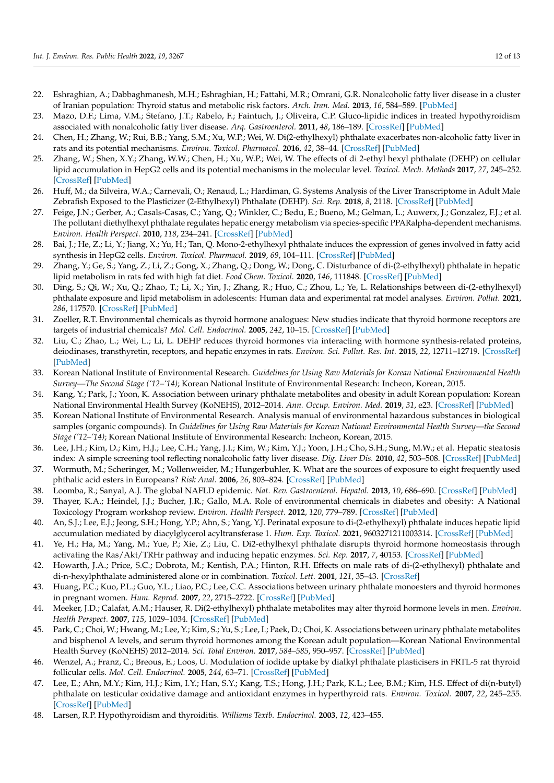- <span id="page-11-0"></span>22. Eshraghian, A.; Dabbaghmanesh, M.H.; Eshraghian, H.; Fattahi, M.R.; Omrani, G.R. Nonalcoholic fatty liver disease in a cluster of Iranian population: Thyroid status and metabolic risk factors. *Arch. Iran. Med.* **2013**, *16*, 584–589. [\[PubMed\]](http://www.ncbi.nlm.nih.gov/pubmed/24093139)
- <span id="page-11-1"></span>23. Mazo, D.F.; Lima, V.M.; Stefano, J.T.; Rabelo, F.; Faintuch, J.; Oliveira, C.P. Gluco-lipidic indices in treated hypothyroidism associated with nonalcoholic fatty liver disease. *Arq. Gastroenterol.* **2011**, *48*, 186–189. [\[CrossRef\]](http://doi.org/10.1590/S0004-28032011000300006) [\[PubMed\]](http://www.ncbi.nlm.nih.gov/pubmed/21952703)
- <span id="page-11-2"></span>24. Chen, H.; Zhang, W.; Rui, B.B.; Yang, S.M.; Xu, W.P.; Wei, W. Di(2-ethylhexyl) phthalate exacerbates non-alcoholic fatty liver in rats and its potential mechanisms. *Environ. Toxicol. Pharmacol.* **2016**, *42*, 38–44. [\[CrossRef\]](http://doi.org/10.1016/j.etap.2015.12.016) [\[PubMed\]](http://www.ncbi.nlm.nih.gov/pubmed/26773359)
- <span id="page-11-14"></span>25. Zhang, W.; Shen, X.Y.; Zhang, W.W.; Chen, H.; Xu, W.P.; Wei, W. The effects of di 2-ethyl hexyl phthalate (DEHP) on cellular lipid accumulation in HepG2 cells and its potential mechanisms in the molecular level. *Toxicol. Mech. Methods* **2017**, *27*, 245–252. [\[CrossRef\]](http://doi.org/10.1080/15376516.2016.1273427) [\[PubMed\]](http://www.ncbi.nlm.nih.gov/pubmed/27996362)
- <span id="page-11-15"></span>26. Huff, M.; da Silveira, W.A.; Carnevali, O.; Renaud, L.; Hardiman, G. Systems Analysis of the Liver Transcriptome in Adult Male Zebrafish Exposed to the Plasticizer (2-Ethylhexyl) Phthalate (DEHP). *Sci. Rep.* **2018**, *8*, 2118. [\[CrossRef\]](http://doi.org/10.1038/s41598-018-20266-8) [\[PubMed\]](http://www.ncbi.nlm.nih.gov/pubmed/29391432)
- 27. Feige, J.N.; Gerber, A.; Casals-Casas, C.; Yang, Q.; Winkler, C.; Bedu, E.; Bueno, M.; Gelman, L.; Auwerx, J.; Gonzalez, F.J.; et al. The pollutant diethylhexyl phthalate regulates hepatic energy metabolism via species-specific PPARalpha-dependent mechanisms. *Environ. Health Perspect.* **2010**, *118*, 234–241. [\[CrossRef\]](http://doi.org/10.1289/ehp.0901217) [\[PubMed\]](http://www.ncbi.nlm.nih.gov/pubmed/20123618)
- <span id="page-11-16"></span>28. Bai, J.; He, Z.; Li, Y.; Jiang, X.; Yu, H.; Tan, Q. Mono-2-ethylhexyl phthalate induces the expression of genes involved in fatty acid synthesis in HepG2 cells. *Environ. Toxicol. Pharmacol.* **2019**, *69*, 104–111. [\[CrossRef\]](http://doi.org/10.1016/j.etap.2019.04.004) [\[PubMed\]](http://www.ncbi.nlm.nih.gov/pubmed/31004931)
- <span id="page-11-13"></span>29. Zhang, Y.; Ge, S.; Yang, Z.; Li, Z.; Gong, X.; Zhang, Q.; Dong, W.; Dong, C. Disturbance of di-(2-ethylhexyl) phthalate in hepatic lipid metabolism in rats fed with high fat diet. *Food Chem. Toxicol.* **2020**, *146*, 111848. [\[CrossRef\]](http://doi.org/10.1016/j.fct.2020.111848) [\[PubMed\]](http://www.ncbi.nlm.nih.gov/pubmed/33166671)
- <span id="page-11-3"></span>30. Ding, S.; Qi, W.; Xu, Q.; Zhao, T.; Li, X.; Yin, J.; Zhang, R.; Huo, C.; Zhou, L.; Ye, L. Relationships between di-(2-ethylhexyl) phthalate exposure and lipid metabolism in adolescents: Human data and experimental rat model analyses. *Environ. Pollut.* **2021**, *286*, 117570. [\[CrossRef\]](http://doi.org/10.1016/j.envpol.2021.117570) [\[PubMed\]](http://www.ncbi.nlm.nih.gov/pubmed/34438493)
- <span id="page-11-4"></span>31. Zoeller, R.T. Environmental chemicals as thyroid hormone analogues: New studies indicate that thyroid hormone receptors are targets of industrial chemicals? *Mol. Cell. Endocrinol.* **2005**, *242*, 10–15. [\[CrossRef\]](http://doi.org/10.1016/j.mce.2005.07.006) [\[PubMed\]](http://www.ncbi.nlm.nih.gov/pubmed/16150534)
- <span id="page-11-5"></span>32. Liu, C.; Zhao, L.; Wei, L.; Li, L. DEHP reduces thyroid hormones via interacting with hormone synthesis-related proteins, deiodinases, transthyretin, receptors, and hepatic enzymes in rats. *Environ. Sci. Pollut. Res. Int.* **2015**, *22*, 12711–12719. [\[CrossRef\]](http://doi.org/10.1007/s11356-015-4567-7) [\[PubMed\]](http://www.ncbi.nlm.nih.gov/pubmed/25913319)
- <span id="page-11-6"></span>33. Korean National Institute of Environmental Research. *Guidelines for Using Raw Materials for Korean National Environmental Health Survey—The Second Stage ('12–'14)*; Korean National Institute of Environmental Research: Incheon, Korean, 2015.
- <span id="page-11-7"></span>34. Kang, Y.; Park, J.; Yoon, K. Association between urinary phthalate metabolites and obesity in adult Korean population: Korean National Environmental Health Survey (KoNEHS), 2012–2014. *Ann. Occup. Environ. Med.* **2019**, *31*, e23. [\[CrossRef\]](http://doi.org/10.35371/aoem.2019.31.e23) [\[PubMed\]](http://www.ncbi.nlm.nih.gov/pubmed/31620300)
- <span id="page-11-8"></span>35. Korean National Institute of Environmental Research. Analysis manual of environmental hazardous substances in biological samples (organic compounds). In *Guidelines for Using Raw Materials for Korean National Environmental Health Survey—the Second Stage ('12–'14)*; Korean National Institute of Environmental Research: Incheon, Korean, 2015.
- <span id="page-11-9"></span>36. Lee, J.H.; Kim, D.; Kim, H.J.; Lee, C.H.; Yang, J.I.; Kim, W.; Kim, Y.J.; Yoon, J.H.; Cho, S.H.; Sung, M.W.; et al. Hepatic steatosis index: A simple screening tool reflecting nonalcoholic fatty liver disease. *Dig. Liver Dis.* **2010**, *42*, 503–508. [\[CrossRef\]](http://doi.org/10.1016/j.dld.2009.08.002) [\[PubMed\]](http://www.ncbi.nlm.nih.gov/pubmed/19766548)
- <span id="page-11-10"></span>37. Wormuth, M.; Scheringer, M.; Vollenweider, M.; Hungerbuhler, K. What are the sources of exposure to eight frequently used phthalic acid esters in Europeans? *Risk Anal.* **2006**, *26*, 803–824. [\[CrossRef\]](http://doi.org/10.1111/j.1539-6924.2006.00770.x) [\[PubMed\]](http://www.ncbi.nlm.nih.gov/pubmed/16834635)
- <span id="page-11-11"></span>38. Loomba, R.; Sanyal, A.J. The global NAFLD epidemic. *Nat. Rev. Gastroenterol. Hepatol.* **2013**, *10*, 686–690. [\[CrossRef\]](http://doi.org/10.1038/nrgastro.2013.171) [\[PubMed\]](http://www.ncbi.nlm.nih.gov/pubmed/24042449)
- <span id="page-11-12"></span>39. Thayer, K.A.; Heindel, J.J.; Bucher, J.R.; Gallo, M.A. Role of environmental chemicals in diabetes and obesity: A National Toxicology Program workshop review. *Environ. Health Perspect.* **2012**, *120*, 779–789. [\[CrossRef\]](http://doi.org/10.1289/ehp.1104597) [\[PubMed\]](http://www.ncbi.nlm.nih.gov/pubmed/22296744)
- <span id="page-11-17"></span>40. An, S.J.; Lee, E.J.; Jeong, S.H.; Hong, Y.P.; Ahn, S.; Yang, Y.J. Perinatal exposure to di-(2-ethylhexyl) phthalate induces hepatic lipid accumulation mediated by diacylglycerol acyltransferase 1. *Hum. Exp. Toxicol.* **2021**, 9603271211003314. [\[CrossRef\]](http://doi.org/10.1177/09603271211003314) [\[PubMed\]](http://www.ncbi.nlm.nih.gov/pubmed/33832334)
- <span id="page-11-18"></span>41. Ye, H.; Ha, M.; Yang, M.; Yue, P.; Xie, Z.; Liu, C. Di2-ethylhexyl phthalate disrupts thyroid hormone homeostasis through activating the Ras/Akt/TRHr pathway and inducing hepatic enzymes. *Sci. Rep.* **2017**, *7*, 40153. [\[CrossRef\]](http://doi.org/10.1038/srep40153) [\[PubMed\]](http://www.ncbi.nlm.nih.gov/pubmed/28065941)
- <span id="page-11-19"></span>42. Howarth, J.A.; Price, S.C.; Dobrota, M.; Kentish, P.A.; Hinton, R.H. Effects on male rats of di-(2-ethylhexyl) phthalate and di-n-hexylphthalate administered alone or in combination. *Toxicol. Lett.* **2001**, *121*, 35–43. [\[CrossRef\]](http://doi.org/10.1016/S0378-4274(01)00313-7)
- <span id="page-11-20"></span>43. Huang, P.C.; Kuo, P.L.; Guo, Y.L.; Liao, P.C.; Lee, C.C. Associations between urinary phthalate monoesters and thyroid hormones in pregnant women. *Hum. Reprod.* **2007**, *22*, 2715–2722. [\[CrossRef\]](http://doi.org/10.1093/humrep/dem205) [\[PubMed\]](http://www.ncbi.nlm.nih.gov/pubmed/17704099)
- <span id="page-11-21"></span>44. Meeker, J.D.; Calafat, A.M.; Hauser, R. Di(2-ethylhexyl) phthalate metabolites may alter thyroid hormone levels in men. *Environ. Health Perspect.* **2007**, *115*, 1029–1034. [\[CrossRef\]](http://doi.org/10.1289/ehp.9852) [\[PubMed\]](http://www.ncbi.nlm.nih.gov/pubmed/17637918)
- <span id="page-11-22"></span>45. Park, C.; Choi, W.; Hwang, M.; Lee, Y.; Kim, S.; Yu, S.; Lee, I.; Paek, D.; Choi, K. Associations between urinary phthalate metabolites and bisphenol A levels, and serum thyroid hormones among the Korean adult population—Korean National Environmental Health Survey (KoNEHS) 2012–2014. *Sci. Total Environ.* **2017**, *584–585*, 950–957. [\[CrossRef\]](http://doi.org/10.1016/j.scitotenv.2017.01.144) [\[PubMed\]](http://www.ncbi.nlm.nih.gov/pubmed/28153396)
- <span id="page-11-23"></span>46. Wenzel, A.; Franz, C.; Breous, E.; Loos, U. Modulation of iodide uptake by dialkyl phthalate plasticisers in FRTL-5 rat thyroid follicular cells. *Mol. Cell. Endocrinol.* **2005**, *244*, 63–71. [\[CrossRef\]](http://doi.org/10.1016/j.mce.2005.02.008) [\[PubMed\]](http://www.ncbi.nlm.nih.gov/pubmed/16289305)
- <span id="page-11-24"></span>47. Lee, E.; Ahn, M.Y.; Kim, H.J.; Kim, I.Y.; Han, S.Y.; Kang, T.S.; Hong, J.H.; Park, K.L.; Lee, B.M.; Kim, H.S. Effect of di(n-butyl) phthalate on testicular oxidative damage and antioxidant enzymes in hyperthyroid rats. *Environ. Toxicol.* **2007**, *22*, 245–255. [\[CrossRef\]](http://doi.org/10.1002/tox.20259) [\[PubMed\]](http://www.ncbi.nlm.nih.gov/pubmed/17497641)
- <span id="page-11-25"></span>48. Larsen, R.P. Hypothyroidism and thyroiditis. *Williams Textb. Endocrinol.* **2003**, *12*, 423–455.